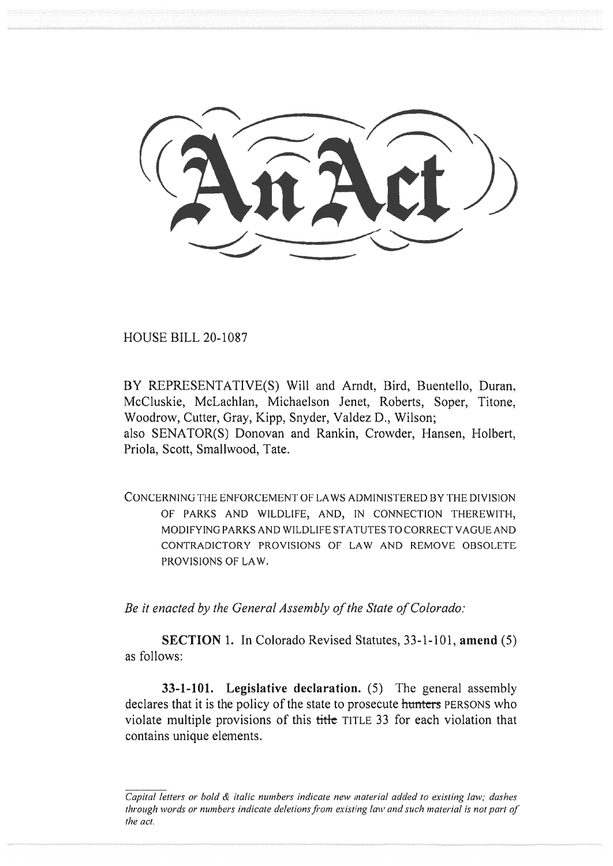HOUSE BILL 20-1087

BY REPRESENTATIVE(S) Will and Arndt, Bird, Buentello, Duran, McCluskie, McLachlan, Michaelson Jenet, Roberts, Soper, Titone, Woodrow, Cutter, Gray, Kipp, Snyder, Valdez D., Wilson; also SENATOR(S) Donovan and Rankin, Crowder, Hansen, Holbert, Priola, Scott, Smallwood, Tate.

CONCERNING THE ENFORCEMENT OF LAWS ADMINISTERED BY THE DIVISION OF PARKS AND WILDLIFE, AND, IN CONNECTION THEREWITH, MODIFYING PARKS AND WILDLIFE STATUTES TO CORRECT VAGUE AND CONTRADICTORY PROVISIONS OF LAW AND REMOVE OBSOLETE PROVISIONS OF LAW.

*Be it enacted by the General Assembly of the State of Colorado:* 

**SECTION 1.** In Colorado Revised Statutes, 33-1-101, **amend** (5) as follows:

**33-1-101.** Legislative declaration. (5) The general assembly declares that it is the policy of the state to prosecute **hunters** PERSONS who violate multiple provisions of this title TITLE 33 for each violation that contains unique elements.

Capital letters or bold & italic numbers indicate new material added to existing law; dashes through words or numbers indicate deletions from existing law and such material is not part of the act.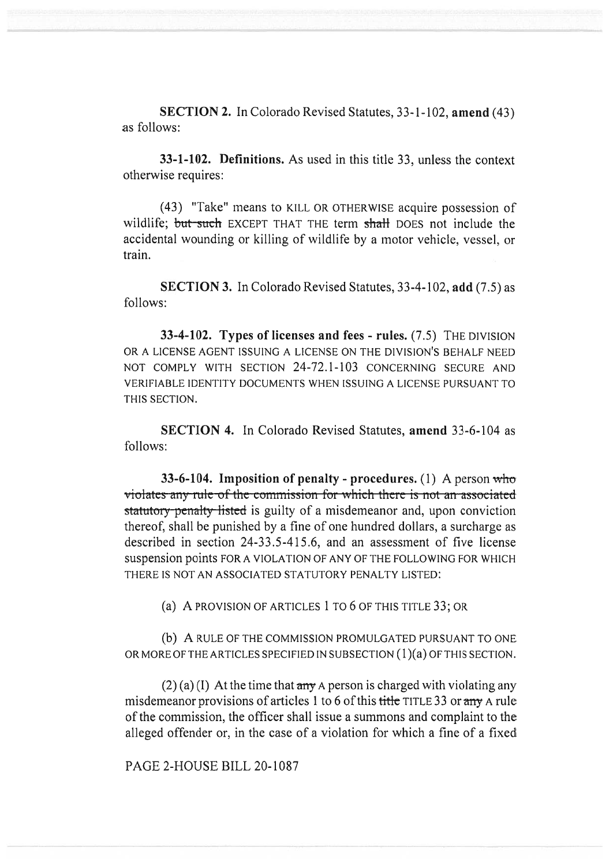**SECTION 2.** In Colorado Revised Statutes, 33-1-102, **amend** (43) as follows:

**33-1-102. Definitions.** As used in this title 33, unless the context otherwise requires:

(43) "Take" means to KILL OR OTHERWISE acquire possession of wildlife; but such EXCEPT THAT THE term shall DOES not include the accidental wounding or killing of wildlife by a motor vehicle, vessel, or train.

**SECTION 3.** In Colorado Revised Statutes, 33-4-102, **add** (7.5) as follows:

**33-4-102. Types of licenses and fees - rules.** (7.5) THE DIVISION OR A LICENSE AGENT ISSUING A LICENSE ON THE DIVISION'S BEHALF NEED NOT COMPLY WITH SECTION 24-72.1-103 CONCERNING SECURE AND VERIFIABLE IDENTITY DOCUMENTS WHEN ISSUING A LICENSE PURSUANT TO THIS SECTION.

**SECTION 4.** In Colorado Revised Statutes, **amend** 33-6-104 as follows:

**33-6-104. Imposition of penalty - procedures.** (1) A person who violates any rule of the commission for which there is not an associated statutory penalty listed is guilty of a misdemeanor and, upon conviction thereof, shall be punished by a fine of one hundred dollars, a surcharge as described in section 24-33.5-415.6, and an assessment of five license suspension points FOR A VIOLATION OF ANY OF THE FOLLOWING FOR WHICH THERE IS NOT AN ASSOCIATED STATUTORY PENALTY LISTED:

(a) A PROVISION OF ARTICLES 1 TO 6 OF THIS TITLE 33; OR

(b) A RULE OF THE COMMISSION PROMULGATED PURSUANT TO ONE OR MORE OF THE ARTICLES SPECIFIED IN SUBSECTION (1)(a) OF THIS SECTION.

 $(2)$  (a) (I) At the time that any A person is charged with violating any misdemeanor provisions of articles 1 to 6 of this title TITLE 33 or any A rule of the commission, the officer shall issue a summons and complaint to the alleged offender or, in the case of a violation for which a fine of a fixed

PAGE 2-HOUSE BILL 20-1087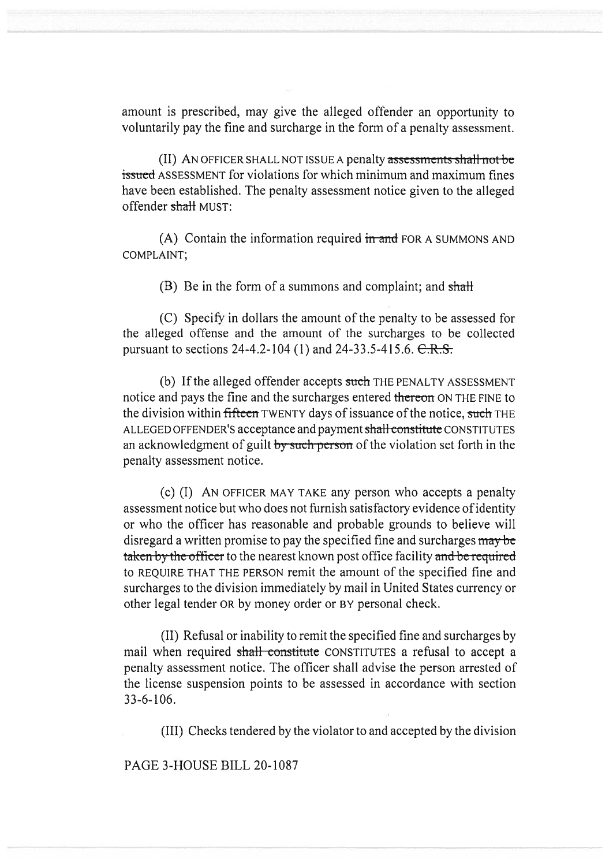amount is prescribed, may give the alleged offender an opportunity to voluntarily pay the fine and surcharge in the form of a penalty assessment.

(II) AN OFFICER SHALL NOT ISSUE A penalty assessments shall not be issued ASSESSMENT for violations for which minimum and maximum fines have been established. The penalty assessment notice given to the alleged offender shall MUST:

(A) Contain the information required  $\frac{d}{dx}$  and FOR A SUMMONS AND COMPLAINT;

(B) Be in the form of a summons and complaint; and  $shath$ 

(C) Specify in dollars the amount of the penalty to be assessed for the alleged offense and the amount of the surcharges to be collected pursuant to sections  $24-4.2-104$  (1) and  $24-33.5-415.6$ .  $C.R.S.$ 

(b) If the alleged offender accepts such THE PENALTY ASSESSMENT notice and pays the fine and the surcharges entered thereon ON THE FINE to the division within fifteen TWENTY days of issuance of the notice, such THE ALLEGED OFFENDER'S acceptance and payment shall constitute CONSTITUTES an acknowledgment of guilt by such person of the violation set forth in the penalty assessment notice.

(c) (I) AN OFFICER MAY TAKE any person who accepts a penalty assessment notice but who does not furnish satisfactory evidence of identity or who the officer has reasonable and probable grounds to believe will disregard a written promise to pay the specified fine and surcharges may be taken by the officer to the nearest known post office facility and be required to REQUIRE THAT THE PERSON remit the amount of the specified fine and surcharges to the division immediately by mail in United States currency or other legal tender OR by money order or BY personal check.

(II) Refusal or inability to remit the specified fine and surcharges by mail when required shall constitute CONSTITUTES a refusal to accept a penalty assessment notice. The officer shall advise the person arrested of the license suspension points to be assessed in accordance with section 33-6-106.

(III) Checks tendered by the violator to and accepted by the division

PAGE 3-HOUSE BILL 20-1087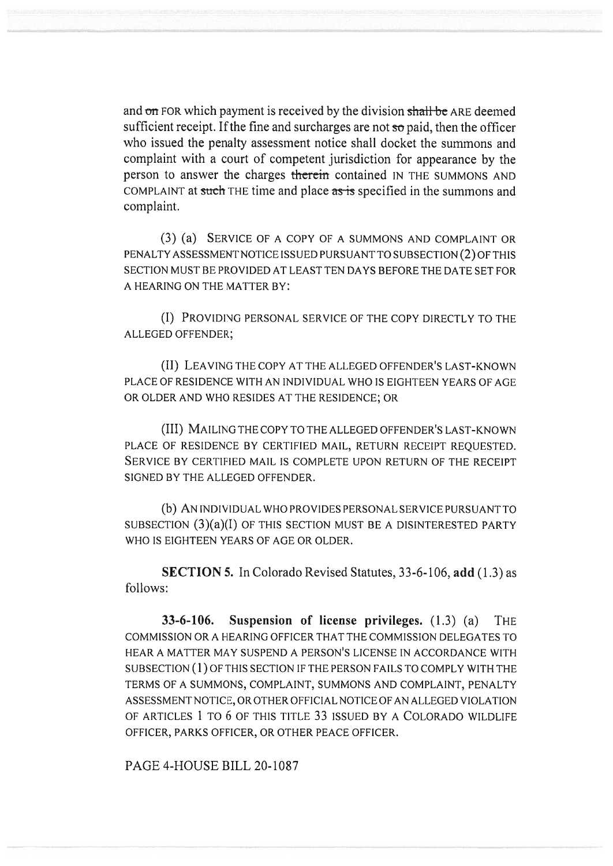and on FOR which payment is received by the division shall be ARE deemed sufficient receipt. If the fine and surcharges are not  $\pi$  paid, then the officer who issued the penalty assessment notice shall docket the summons and complaint with a court of competent jurisdiction for appearance by the person to answer the charges **therein** contained IN THE SUMMONS AND COMPLAINT at such THE time and place as is specified in the summons and complaint.

(3) (a) SERVICE OF A COPY OF A SUMMONS AND COMPLAINT OR PENALTY ASSESSMENT NOTICE ISSUED PURSUANT TO SUBSECTION (2) OF THIS SECTION MUST BE PROVIDED AT LEAST TEN DAYS BEFORE THE DATE SET FOR A HEARING ON THE MATTER BY:

(I) PROVIDING PERSONAL SERVICE OF THE COPY DIRECTLY TO THE ALLEGED OFFENDER;

(II) LEAVING THE COPY AT THE ALLEGED OFFENDER'S LAST-KNOWN PLACE OF RESIDENCE WITH AN INDIVIDUAL WHO IS EIGHTEEN YEARS OF AGE OR OLDER AND WHO RESIDES AT THE RESIDENCE; OR

(III) MAILING THE COPY TO THE ALLEGED OFFENDER'S LAST-KNOWN PLACE OF RESIDENCE BY CERTIFIED MAIL, RETURN RECEIPT REOUESTED. SERVICE BY CERTIFIED MAIL IS COMPLETE UPON RETURN OF THE RECEIPT SIGNED BY THE ALLEGED OFFENDER.

(b) AN INDIVIDUAL WHO PROVIDES PERSONAL SERVICE PURSUANT TO SUBSECTION (3)(a)(I) OF THIS SECTION MUST BE A DISINTERESTED PARTY WHO IS EIGHTEEN YEARS OF AGE OR OLDER.

**SECTION 5.** In Colorado Revised Statutes, 33-6-106, **add** (1.3) as follows:

**33-6-106. Suspension of license privileges.** (1.3) (a) THE COMMISSION OR A HEARING OFFICER THAT THE COMMISSION DELEGATES TO HEAR A MATTER MAY SUSPEND A PERSON'S LICENSE IN ACCORDANCE WITH SUBSECTION (1) OF THIS SECTION IF THE PERSON FAILS TO COMPLY WITH THE TERMS OF A SUMMONS, COMPLAINT, SUMMONS AND COMPLAINT, PENALTY ASSESSMENT NOTICE, OR OTHER OFFICIAL NOTICE OF AN ALLEGED VIOLATION OF ARTICLES 1 TO 6 OF THIS TITLE 33 ISSUED BY A COLORADO WILDLIFE OFFICER, PARKS OFFICER, OR OTHER PEACE OFFICER.

PAGE 4-HOUSE BILL 20-1087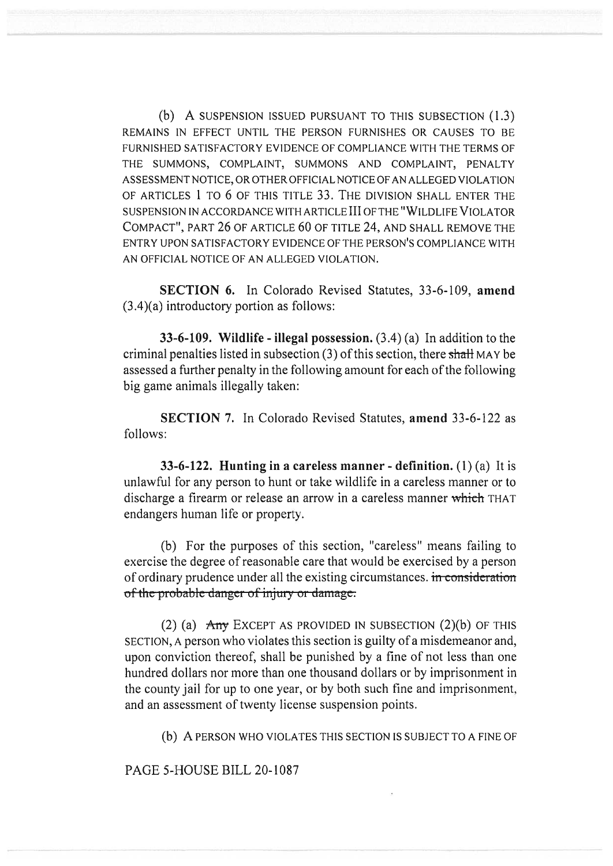(b) A SUSPENSION ISSUED PURSUANT TO THIS SUBSECTION (1.3) REMAINS IN EFFECT UNTIL THE PERSON FURNISHES OR CAUSES TO BE FURNISHED SATISFACTORY EVIDENCE OF COMPLIANCE WITH THE TERMS OF THE SUMMONS, COMPLAINT, SUMMONS AND COMPLAINT, PENALTY ASSESSMENT NOTICE, OR OTHER OFFICIAL NOTICE OF AN ALLEGED VIOLATION OF ARTICLES 1 TO 6 OF THIS TITLE 33. THE DIVISION SHALL ENTER THE SUSPENSION IN ACCORDANCE WITH ARTICLE III OF THE "WILDLIFE VIOLATOR COMPACT", PART 26 OF ARTICLE 60 OF TITLE 24, AND SHALL REMOVE THE ENTRY UPON SATISFACTORY EVIDENCE OF THE PERSON'S COMPLIANCE WITH AN OFFICIAL NOTICE OF AN ALLEGED VIOLATION.

**SECTION 6.** In Colorado Revised Statutes, 33-6-109, **amend**  (3.4)(a) introductory portion as follows:

**33-6-109. Wildlife - illegal possession.** (3.4) (a) In addition to the criminal penalties listed in subsection  $(3)$  of this section, there shall MAY be assessed a further penalty in the following amount for each of the following big game animals illegally taken:

**SECTION 7.** In Colorado Revised Statutes, **amend** 33-6-122 as follows:

**33-6-122. Hunting in a careless manner - definition.** (1) (a) It is unlawful for any person to hunt or take wildlife in a careless manner or to discharge a firearm or release an arrow in a careless manner which THAT endangers human life or property.

(b) For the purposes of this section, "careless" means failing to exercise the degree of reasonable care that would be exercised by a person of ordinary prudence under all the existing circumstances. in consideration of the probable danger of injury or damage.

(2) (a)  $\overline{Any}$  EXCEPT AS PROVIDED IN SUBSECTION (2)(b) OF THIS SECTION, A person who violates this section is guilty of a misdemeanor and, upon conviction thereof, shall be punished by a fine of not less than one hundred dollars nor more than one thousand dollars or by imprisonment in the county jail for up to one year, or by both such fine and imprisonment, and an assessment of twenty license suspension points.

(b) A PERSON WHO VIOLATES THIS SECTION IS SUBJECT TO A FINE OF

PAGE 5-HOUSE BILL 20-1087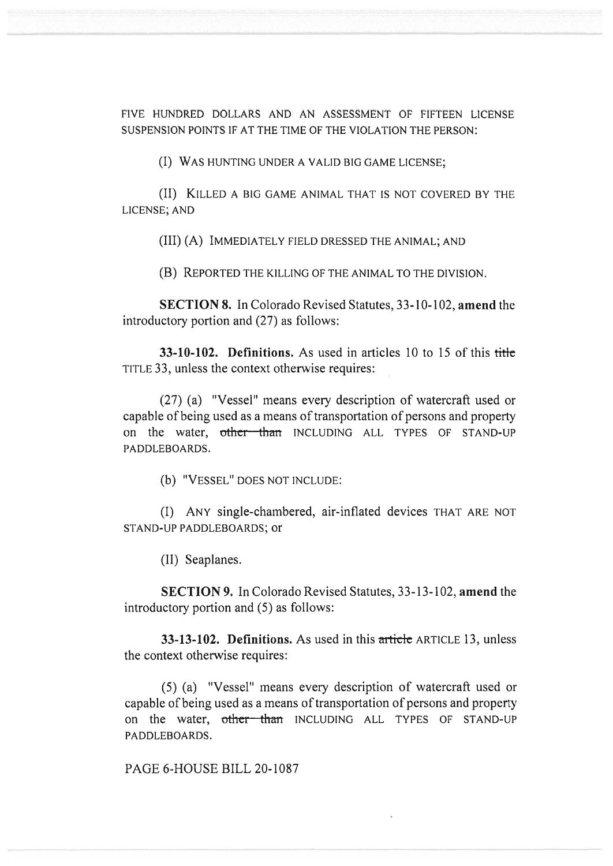FIVE HUNDRED DOLLARS AND AN ASSESSMENT OF FIFTEEN LICENSE SUSPENSION POINTS IF AT THE TIME OF THE VIOLATION THE PERSON:

(I) WAS HUNTING UNDER A VALID BIG GAME LICENSE;

(II) KILLED A BIG GAME ANIMAL THAT IS NOT COVERED BY THE LICENSE; AND

(III) (A) IMMEDIATELY FIELD DRESSED THE ANIMAL; AND

(B) REPORTED THE KILLING OF THE ANIMAL TO THE DIVISION.

**SECTION 8.** In Colorado Revised Statutes, 33-10-102, **amend** the introductory portion and (27) as follows:

**33-10-102. Definitions.** As used in articles 10 to 15 of this title TITLE 33, unless the context otherwise requires:

(27) (a) "Vessel" means every description of watercraft used or capable of being used as a means of transportation of persons and property on the water, other than INCLUDING ALL TYPES OF STAND-UP PADDLEBOARDS.

(b) "VESSEL" DOES NOT INCLUDE:

(I) ANY single-chambered, air-inflated devices THAT ARE NOT STAND-UP PADDLEBOARDS; or

(II) Seaplanes.

**SECTION 9.** In Colorado Revised Statutes, 33-13-102, **amend** the introductory portion and (5) as follows:

**33-13-102. Definitions.** As used in this article ARTICLE 13, unless the context otherwise requires:

(5) (a) "Vessel" means every description of watercraft used or capable of being used as a means of transportation of persons and property on the water, other than INCLUDING ALL TYPES OF STAND-UP PADDLEBOARDS.

PAGE 6-HOUSE BILL 20-1087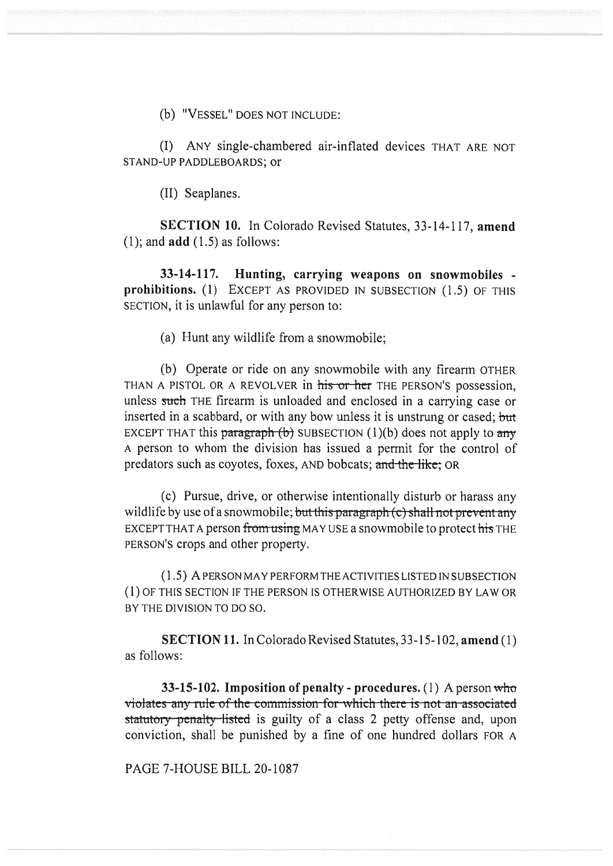(b) "VESSEL" DOES NOT INCLUDE:

(I) ANY single-chambered air-inflated devices THAT ARE NOT STAND-UP PADDLEBOARDS; or

(II) Seaplanes.

**SECTION 10.** In Colorado Revised Statutes, 33-14-117, **amend**  (1); and **add** (1.5) as follows:

**33-14-117. Hunting, carrying weapons on snowmobiles prohibitions. (1)** EXCEPT AS PROVIDED IN SUBSECTION (1.5) OF THIS SECTION, it is unlawful for any person to:

(a) Hunt any wildlife from a snowmobile;

(b) Operate or ride on any snowmobile with any firearm OTHER THAN A PISTOL OR A REVOLVER in his or her THE PERSON'S possession, unless such THE firearm is unloaded and enclosed in a carrying case or inserted in a scabbard, or with any bow unless it is unstrung or cased; but EXCEPT THAT this paragraph (b) SUBSECTION (1)(b) does not apply to any A person to whom the division has issued a permit for the control of predators such as coyotes, foxes, AND bobcats; and the like; OR

(c) Pursue, drive, or otherwise intentionally disturb or harass any wildlife by use of a snowmobile; but this paragraph (c) shall not prevent any EXCEPT THAT A person from using MAY USE a snowmobile to protect his THE PERSON'S crops and other property.

(1.5) A PERSON MAY PERFORM THE ACTIVITIES LISTED IN SUBSECTION (1) OF THIS SECTION IF THE PERSON IS OTHERWISE AUTHORIZED BY LAW OR BY THE DIVISION TO DO SO.

**SECTION 11.** In Colorado Revised Statutes, 33-15-102, **amend (1)**  as follows:

**33-15-102. Imposition of penalty - procedures.** (1) A person **WhO**  violates any rule of the commission for which there is not an associated statutory penalty listed is guilty of a class 2 petty offense and, upon conviction, shall be punished by a fine of one hundred dollars FOR A

PAGE 7-HOUSE BILL 20-1087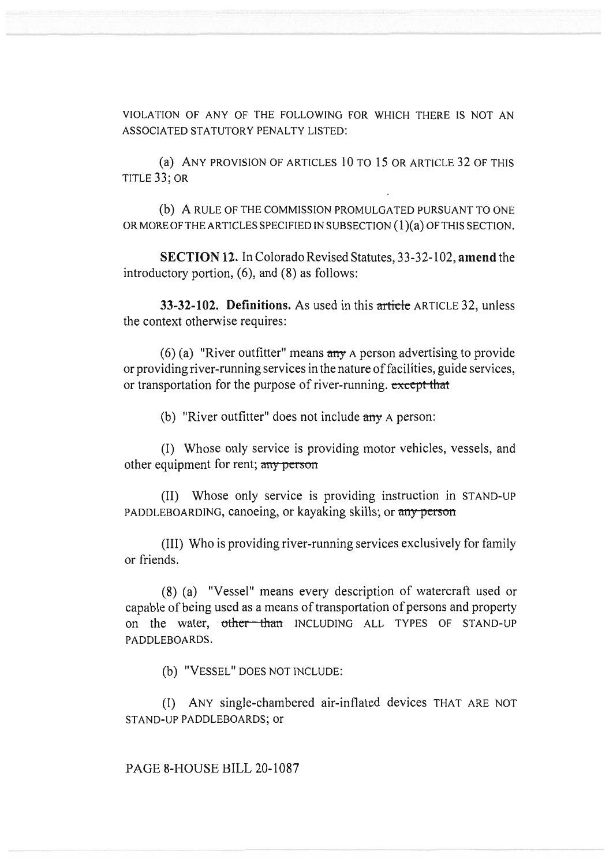VIOLATION OF ANY OF THE FOLLOWING FOR WHICH THERE IS NOT AN ASSOCIATED STATUTORY PENALTY LISTED:

(a) ANY PROVISION OF ARTICLES 10 TO 15 OR ARTICLE 32 OF THIS TITLE 33; OR

(b) A RULE OF THE COMMISSION PROMULGATED PURSUANT TO ONE OR MORE OF THE ARTICLES SPECIFIED IN SUBSECTION (1)(a) OF THIS SECTION.

SECTION 12. In Colorado Revised Statutes, 33-32-102, **amend** the introductory portion, (6), and (8) as follows:

**33-32-102. Definitions.** As used in this **article** ARTICLE 32, unless the context otherwise requires:

(6) (a) "River outfitter" means  $\frac{dy}{dx}$  A person advertising to provide or providing river-running services in the nature of facilities, guide services, or transportation for the purpose of river-running. except that

(b) "River outfitter" does not include  $\frac{any}{any}$  A person:

(I) Whose only service is providing motor vehicles, vessels, and other equipment for rent; any person

(II) Whose only service is providing instruction in STAND-UP PADDLEBOARDING, canoeing, or kayaking skills; or any person

(III) Who is providing river-running services exclusively for family or friends.

(8) (a) "Vessel" means every description of watercraft used or capable of being used as a means of transportation of persons and property on the water, other than INCLUDING ALL TYPES OF STAND-UP PADDLEBOARDS.

(b) "VESSEL" DOES NOT INCLUDE:

(I) ANY single-chambered air-inflated devices THAT ARE NOT STAND-UP PADDLEBOARDS; or

PAGE 8-HOUSE BILL 20-1087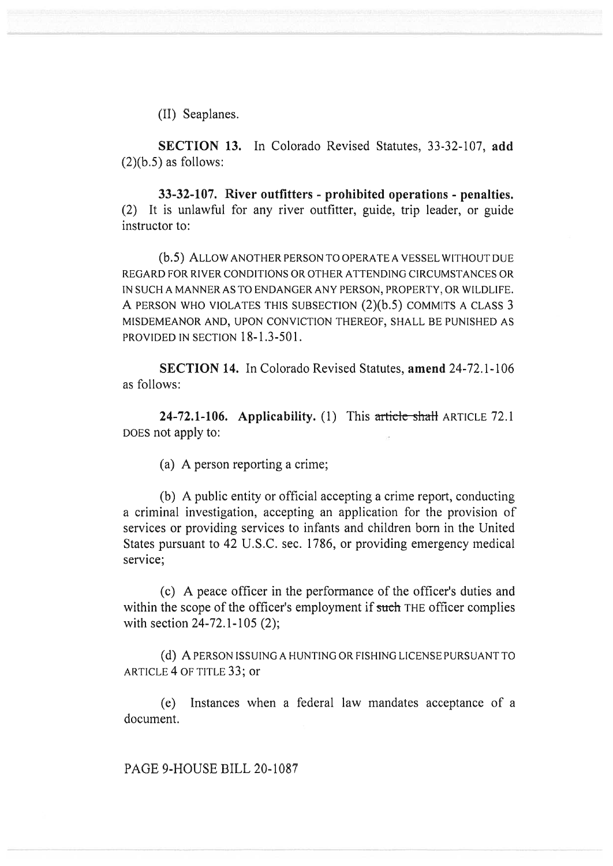(II) Seaplanes.

**SECTION 13.** In Colorado Revised Statutes, 33-32-107, **add**   $(2)(b.5)$  as follows:

**33-32-107. River outfitters - prohibited operations - penalties.**  (2) It is unlawful for any river outfitter, guide, trip leader, or guide instructor to:

(b.5) ALLOW ANOTHER PERSON TO OPERATE A VESSEL WITHOUT DUE REGARD FOR RIVER CONDITIONS OR OTHER ATTENDING CIRCUMSTANCES OR IN SUCH A MANNER AS TO ENDANGER ANY PERSON, PROPERTY, OR WILDLIFE. A PERSON WHO VIOLATES THIS SUBSECTION (2)(b.5) COMMITS A CLASS 3 MISDEMEANOR AND, UPON CONVICTION THEREOF, SHALL BE PUNISHED AS PROVIDED IN SECTION 18-1.3-501.

**SECTION 14.** In Colorado Revised Statutes, **amend** 24-72.1-106 as follows:

**24-72.1-106. Applicability.** (1) This article shall ARTICLE 72.1 DOES not apply to:

(a) A person reporting a crime;

(b) A public entity or official accepting a crime report, conducting a criminal investigation, accepting an application for the provision of services or providing services to infants and children born in the United States pursuant to 42 U.S.C. sec. 1786, or providing emergency medical service;

(c) A peace officer in the performance of the officer's duties and within the scope of the officer's employment if such THE officer complies with section 24-72.1-105 (2);

(d) A PERSON ISSUING A HUNTING OR FISHING LICENSE PURSUANT TO ARTICLE 4 OF TITLE 33; or

(e) Instances when a federal law mandates acceptance of a document.

PAGE 9-HOUSE BILL 20-1087